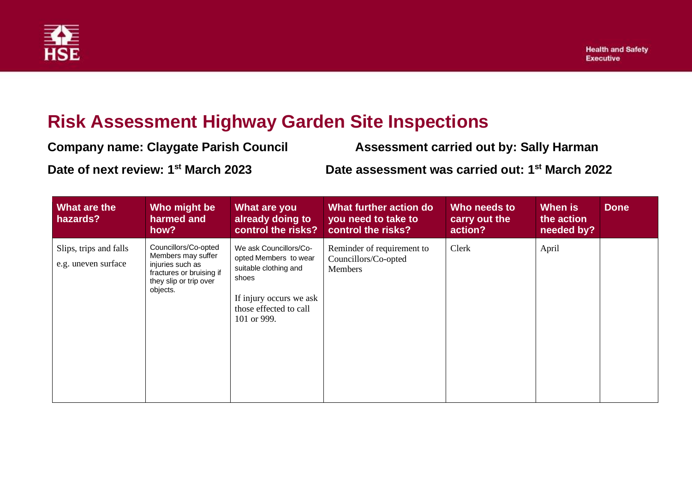

## **Risk Assessment Highway Garden Site Inspections**

| <b>Company name: Claygate Parish Council</b>    | <b>Assessment carried out by: Sally Harman</b>              |
|-------------------------------------------------|-------------------------------------------------------------|
| Date of next review: 1 <sup>st</sup> March 2023 | Date assessment was carried out: 1 <sup>st</sup> March 2022 |

| What are the<br>hazards?                      | Who might be<br>harmed and<br>how?                                                                                               | What are you<br>already doing to<br>control the risks?                                                                                                | What further action do<br>you need to take to<br>control the risks?  | Who needs to<br>carry out the<br>action? | When is<br>the action<br>needed by? | <b>Done</b> |
|-----------------------------------------------|----------------------------------------------------------------------------------------------------------------------------------|-------------------------------------------------------------------------------------------------------------------------------------------------------|----------------------------------------------------------------------|------------------------------------------|-------------------------------------|-------------|
| Slips, trips and falls<br>e.g. uneven surface | Councillors/Co-opted<br>Members may suffer<br>injuries such as<br>fractures or bruising if<br>they slip or trip over<br>objects. | We ask Councillors/Co-<br>opted Members to wear<br>suitable clothing and<br>shoes<br>If injury occurs we ask<br>those effected to call<br>101 or 999. | Reminder of requirement to<br>Councillors/Co-opted<br><b>Members</b> | Clerk                                    | April                               |             |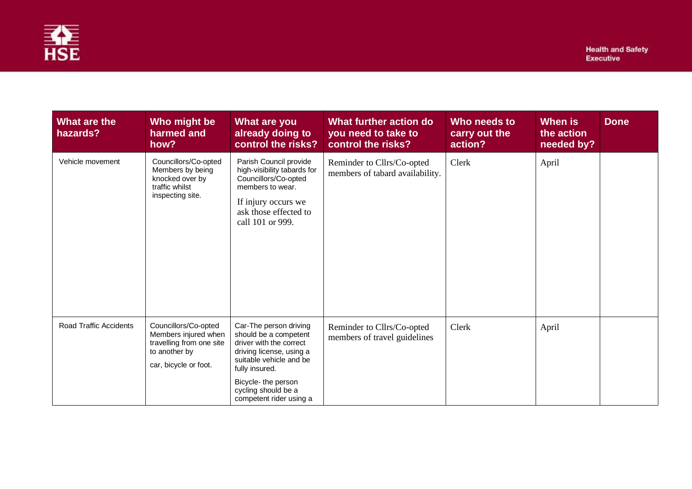

| What are the<br>hazards? | Who might be<br>harmed and<br>how?                                                                                 | What are you<br>already doing to<br>control the risks?                                                                                                                                                                       | What further action do<br>you need to take to<br>control the risks? | Who needs to<br>carry out the<br>action? | When is<br>the action<br>needed by? | <b>Done</b> |
|--------------------------|--------------------------------------------------------------------------------------------------------------------|------------------------------------------------------------------------------------------------------------------------------------------------------------------------------------------------------------------------------|---------------------------------------------------------------------|------------------------------------------|-------------------------------------|-------------|
| Vehicle movement         | Councillors/Co-opted<br>Members by being<br>knocked over by<br>traffic whilst<br>inspecting site.                  | Parish Council provide<br>high-visibility tabards for<br>Councillors/Co-opted<br>members to wear.<br>If injury occurs we<br>ask those effected to<br>call 101 or 999.                                                        | Reminder to Cllrs/Co-opted<br>members of tabard availability.       | Clerk                                    | April                               |             |
| Road Traffic Accidents   | Councillors/Co-opted<br>Members injured when<br>travelling from one site<br>to another by<br>car, bicycle or foot. | Car-The person driving<br>should be a competent<br>driver with the correct<br>driving license, using a<br>suitable vehicle and be<br>fully insured.<br>Bicycle- the person<br>cycling should be a<br>competent rider using a | Reminder to Cllrs/Co-opted<br>members of travel guidelines          | Clerk                                    | April                               |             |